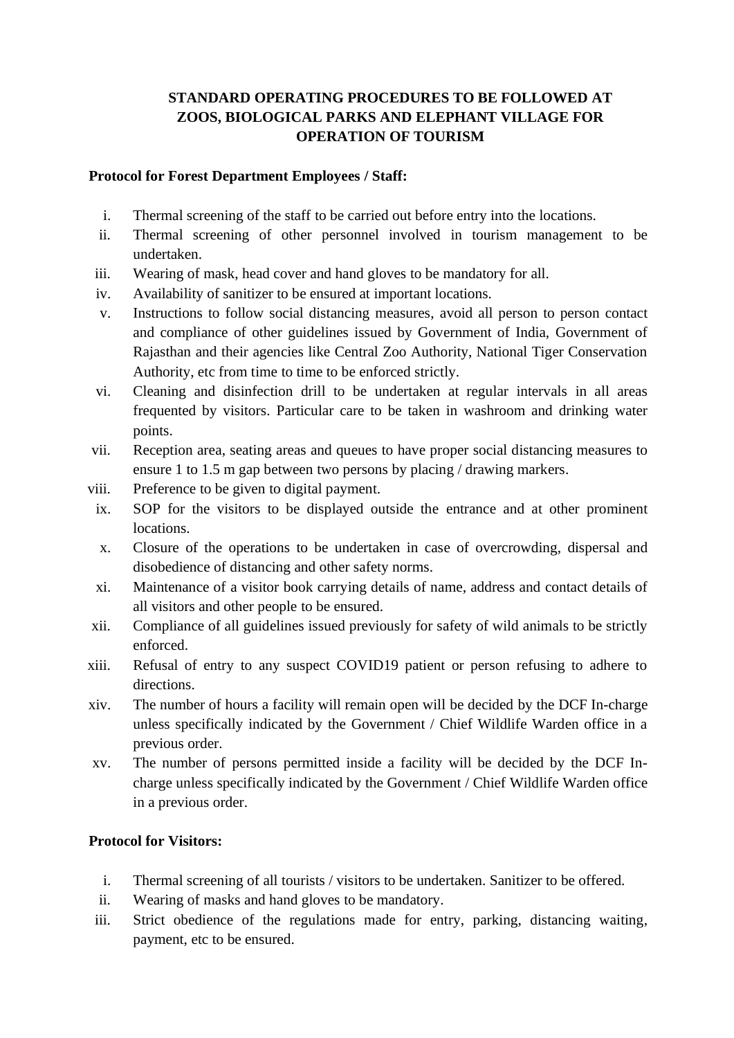# **STANDARD OPERATING PROCEDURES TO BE FOLLOWED AT ZOOS, BIOLOGICAL PARKS AND ELEPHANT VILLAGE FOR OPERATION OF TOURISM**

### **Protocol for Forest Department Employees / Staff:**

- i. Thermal screening of the staff to be carried out before entry into the locations.
- ii. Thermal screening of other personnel involved in tourism management to be undertaken.
- iii. Wearing of mask, head cover and hand gloves to be mandatory for all.
- iv. Availability of sanitizer to be ensured at important locations.
- v. Instructions to follow social distancing measures, avoid all person to person contact and compliance of other guidelines issued by Government of India, Government of Rajasthan and their agencies like Central Zoo Authority, National Tiger Conservation Authority, etc from time to time to be enforced strictly.
- vi. Cleaning and disinfection drill to be undertaken at regular intervals in all areas frequented by visitors. Particular care to be taken in washroom and drinking water points.
- vii. Reception area, seating areas and queues to have proper social distancing measures to ensure 1 to 1.5 m gap between two persons by placing / drawing markers.
- viii. Preference to be given to digital payment.
- ix. SOP for the visitors to be displayed outside the entrance and at other prominent locations.
- x. Closure of the operations to be undertaken in case of overcrowding, dispersal and disobedience of distancing and other safety norms.
- xi. Maintenance of a visitor book carrying details of name, address and contact details of all visitors and other people to be ensured.
- xii. Compliance of all guidelines issued previously for safety of wild animals to be strictly enforced.
- xiii. Refusal of entry to any suspect COVID19 patient or person refusing to adhere to directions.
- xiv. The number of hours a facility will remain open will be decided by the DCF In-charge unless specifically indicated by the Government / Chief Wildlife Warden office in a previous order.
- xv. The number of persons permitted inside a facility will be decided by the DCF Incharge unless specifically indicated by the Government / Chief Wildlife Warden office in a previous order.

#### **Protocol for Visitors:**

- i. Thermal screening of all tourists / visitors to be undertaken. Sanitizer to be offered.
- ii. Wearing of masks and hand gloves to be mandatory.
- iii. Strict obedience of the regulations made for entry, parking, distancing waiting, payment, etc to be ensured.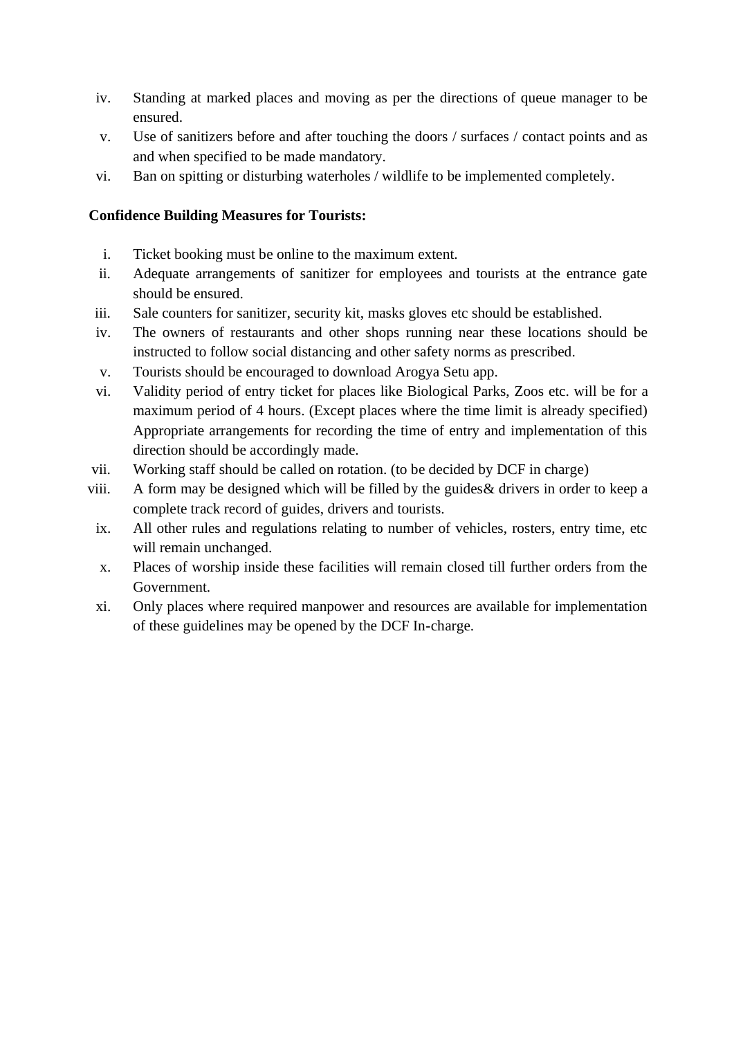- iv. Standing at marked places and moving as per the directions of queue manager to be ensured.
- v. Use of sanitizers before and after touching the doors / surfaces / contact points and as and when specified to be made mandatory.
- vi. Ban on spitting or disturbing waterholes / wildlife to be implemented completely.

## **Confidence Building Measures for Tourists:**

- i. Ticket booking must be online to the maximum extent.
- ii. Adequate arrangements of sanitizer for employees and tourists at the entrance gate should be ensured.
- iii. Sale counters for sanitizer, security kit, masks gloves etc should be established.
- iv. The owners of restaurants and other shops running near these locations should be instructed to follow social distancing and other safety norms as prescribed.
- v. Tourists should be encouraged to download Arogya Setu app.
- vi. Validity period of entry ticket for places like Biological Parks, Zoos etc. will be for a maximum period of 4 hours. (Except places where the time limit is already specified) Appropriate arrangements for recording the time of entry and implementation of this direction should be accordingly made.
- vii. Working staff should be called on rotation. (to be decided by DCF in charge)
- viii. A form may be designed which will be filled by the guides& drivers in order to keep a complete track record of guides, drivers and tourists.
- ix. All other rules and regulations relating to number of vehicles, rosters, entry time, etc will remain unchanged.
- x. Places of worship inside these facilities will remain closed till further orders from the Government.
- xi. Only places where required manpower and resources are available for implementation of these guidelines may be opened by the DCF In-charge.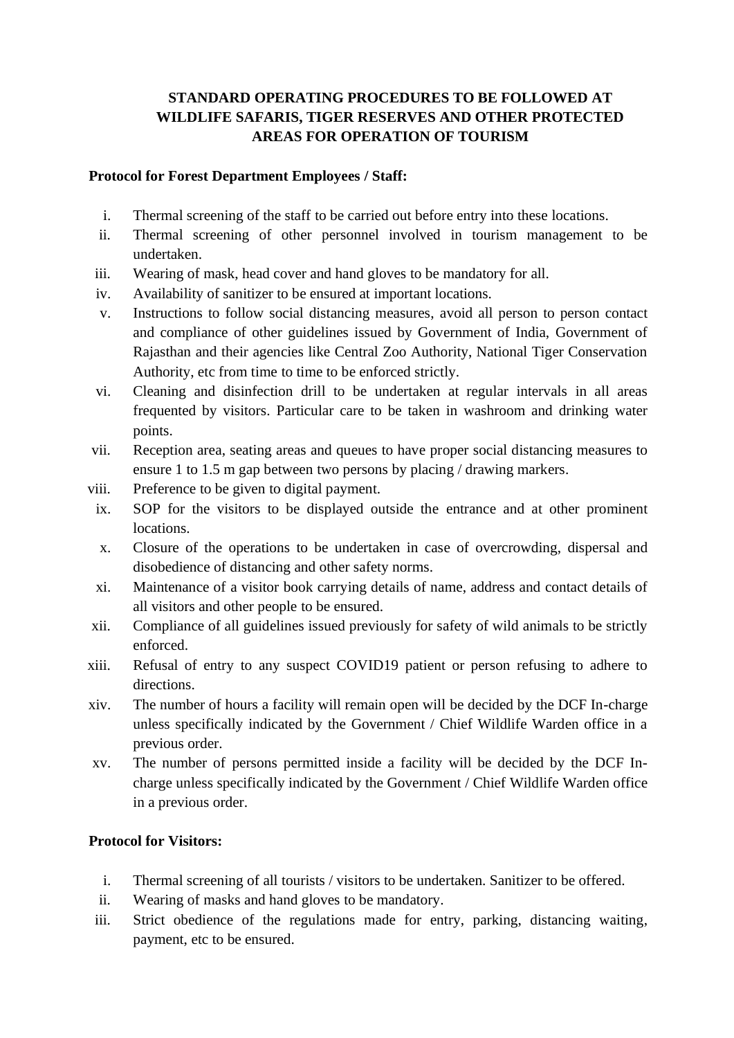# **STANDARD OPERATING PROCEDURES TO BE FOLLOWED AT WILDLIFE SAFARIS, TIGER RESERVES AND OTHER PROTECTED AREAS FOR OPERATION OF TOURISM**

### **Protocol for Forest Department Employees / Staff:**

- i. Thermal screening of the staff to be carried out before entry into these locations.
- ii. Thermal screening of other personnel involved in tourism management to be undertaken.
- iii. Wearing of mask, head cover and hand gloves to be mandatory for all.
- iv. Availability of sanitizer to be ensured at important locations.
- v. Instructions to follow social distancing measures, avoid all person to person contact and compliance of other guidelines issued by Government of India, Government of Rajasthan and their agencies like Central Zoo Authority, National Tiger Conservation Authority, etc from time to time to be enforced strictly.
- vi. Cleaning and disinfection drill to be undertaken at regular intervals in all areas frequented by visitors. Particular care to be taken in washroom and drinking water points.
- vii. Reception area, seating areas and queues to have proper social distancing measures to ensure 1 to 1.5 m gap between two persons by placing / drawing markers.
- viii. Preference to be given to digital payment.
- ix. SOP for the visitors to be displayed outside the entrance and at other prominent locations.
- x. Closure of the operations to be undertaken in case of overcrowding, dispersal and disobedience of distancing and other safety norms.
- xi. Maintenance of a visitor book carrying details of name, address and contact details of all visitors and other people to be ensured.
- xii. Compliance of all guidelines issued previously for safety of wild animals to be strictly enforced.
- xiii. Refusal of entry to any suspect COVID19 patient or person refusing to adhere to directions.
- xiv. The number of hours a facility will remain open will be decided by the DCF In-charge unless specifically indicated by the Government / Chief Wildlife Warden office in a previous order.
- xv. The number of persons permitted inside a facility will be decided by the DCF Incharge unless specifically indicated by the Government / Chief Wildlife Warden office in a previous order.

#### **Protocol for Visitors:**

- i. Thermal screening of all tourists / visitors to be undertaken. Sanitizer to be offered.
- ii. Wearing of masks and hand gloves to be mandatory.
- iii. Strict obedience of the regulations made for entry, parking, distancing waiting, payment, etc to be ensured.